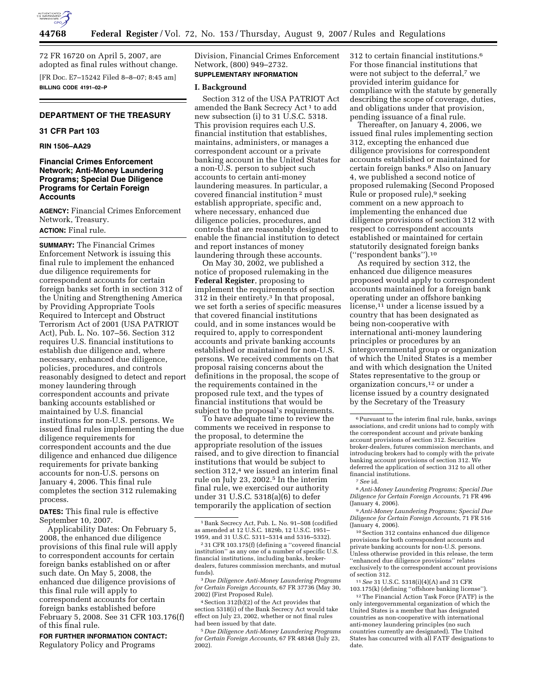

72 FR 16720 on April 5, 2007, are adopted as final rules without change. [FR Doc. E7–15242 Filed 8–8–07; 8:45 am] **BILLING CODE 4191–02–P** 

# **DEPARTMENT OF THE TREASURY**

### **31 CFR Part 103**

# **RIN 1506–AA29**

# **Financial Crimes Enforcement Network; Anti-Money Laundering Programs; Special Due Diligence Programs for Certain Foreign Accounts**

**AGENCY:** Financial Crimes Enforcement Network, Treasury.

# **ACTION:** Final rule.

**SUMMARY:** The Financial Crimes Enforcement Network is issuing this final rule to implement the enhanced due diligence requirements for correspondent accounts for certain foreign banks set forth in section 312 of the Uniting and Strengthening America by Providing Appropriate Tools Required to Intercept and Obstruct Terrorism Act of 2001 (USA PATRIOT Act), Pub. L. No. 107–56. Section 312 requires U.S. financial institutions to establish due diligence and, where necessary, enhanced due diligence, policies, procedures, and controls reasonably designed to detect and report money laundering through correspondent accounts and private banking accounts established or maintained by U.S. financial institutions for non-U.S. persons. We issued final rules implementing the due diligence requirements for correspondent accounts and the due diligence and enhanced due diligence requirements for private banking accounts for non-U.S. persons on January 4, 2006. This final rule completes the section 312 rulemaking process.

**DATES:** This final rule is effective September 10, 2007.

Applicability Dates: On February 5, 2008, the enhanced due diligence provisions of this final rule will apply to correspondent accounts for certain foreign banks established on or after such date. On May 5, 2008, the enhanced due diligence provisions of this final rule will apply to correspondent accounts for certain foreign banks established before February 5, 2008. See 31 CFR 103.176(f) of this final rule.

**FOR FURTHER INFORMATION CONTACT:**  Regulatory Policy and Programs

Division, Financial Crimes Enforcement Network, (800) 949–2732. **SUPPLEMENTARY INFORMATION**

# **I. Background**

Section 312 of the USA PATRIOT Act amended the Bank Secrecy Act 1 to add new subsection (i) to 31 U.S.C. 5318. This provision requires each U.S. financial institution that establishes, maintains, administers, or manages a correspondent account or a private banking account in the United States for a non-U.S. person to subject such accounts to certain anti-money laundering measures. In particular, a covered financial institution 2 must establish appropriate, specific and, where necessary, enhanced due diligence policies, procedures, and controls that are reasonably designed to enable the financial institution to detect and report instances of money laundering through these accounts.

On May 30, 2002, we published a notice of proposed rulemaking in the **Federal Register**, proposing to implement the requirements of section 312 in their entirety.3 In that proposal, we set forth a series of specific measures that covered financial institutions could, and in some instances would be required to, apply to correspondent accounts and private banking accounts established or maintained for non-U.S. persons. We received comments on that proposal raising concerns about the definitions in the proposal, the scope of the requirements contained in the proposed rule text, and the types of financial institutions that would be subject to the proposal's requirements.

To have adequate time to review the comments we received in response to the proposal, to determine the appropriate resolution of the issues raised, and to give direction to financial institutions that would be subject to section 312,<sup>4</sup> we issued an interim final rule on July 23, 2002.5 In the interim final rule, we exercised our authority under 31 U.S.C. 5318(a)(6) to defer temporarily the application of section

3 *Due Diligence Anti-Money Laundering Programs for Certain Foreign Accounts,* 67 FR 37736 (May 30, 2002) (First Proposed Rule).

4Section 312(b)(2) of the Act provides that section 5318(i) of the Bank Secrecy Act would take effect on July 23, 2002, whether or not final rules had been issued by that date.

5 *Due Diligence Anti-Money Laundering Programs for Certain Foreign Accounts,* 67 FR 48348 (July 23, 2002).

312 to certain financial institutions.6 For those financial institutions that were not subject to the deferral,<sup>7</sup> we provided interim guidance for compliance with the statute by generally describing the scope of coverage, duties, and obligations under that provision, pending issuance of a final rule.

Thereafter, on January 4, 2006, we issued final rules implementing section 312, excepting the enhanced due diligence provisions for correspondent accounts established or maintained for certain foreign banks.8 Also on January 4, we published a second notice of proposed rulemaking (Second Proposed Rule or proposed rule),<sup>9</sup> seeking comment on a new approach to implementing the enhanced due diligence provisions of section 312 with respect to correspondent accounts established or maintained for certain statutorily designated foreign banks (''respondent banks'').10

As required by section 312, the enhanced due diligence measures proposed would apply to correspondent accounts maintained for a foreign bank operating under an offshore banking license,<sup>11</sup> under a license issued by a country that has been designated as being non-cooperative with international anti-money laundering principles or procedures by an intergovernmental group or organization of which the United States is a member and with which designation the United States representative to the group or organization concurs,12 or under a license issued by a country designated by the Secretary of the Treasury

8*Anti-Money Laundering Programs; Special Due Diligence for Certain Foreign Accounts*, 71 FR 496 (January 4, 2006).

9*Anti-Money Laundering Programs; Special Due Diligence for Certain Foreign Accounts*, 71 FR 516 (January 4, 2006).

10Section 312 contains enhanced due diligence provisions for both correspondent accounts and private banking accounts for non-U.S. persons. Unless otherwise provided in this release, the term ''enhanced due diligence provisions'' relates exclusively to the correspondent account provisions of section 312.

11*See* 31 U.S.C. 5318(i)(4)(A) and 31 CFR 103.175(k) (defining ''offshore banking license'').

<sup>1</sup>Bank Secrecy Act, Pub. L. No. 91–508 (codified as amended at 12 U.S.C. 1829b, 12 U.S.C. 1951– 1959, and 31 U.S.C. 5311–5314 and 5316–5332).

 $^{\rm 2}$  31 CFR 103.175(f) (defining a ''covered financial institution'' as any one of a number of specific U.S. financial institutions, including banks, brokerdealers, futures commission merchants, and mutual funds).

<sup>6</sup>Pursuant to the interim final rule, banks, savings associations, and credit unions had to comply with the correspondent account and private banking account provisions of section 312. Securities broker-dealers, futures commission merchants, and introducing brokers had to comply with the private banking account provisions of section 312. We deferred the application of section 312 to all other financial institutions. 7*See* id.

<sup>12</sup>The Financial Action Task Force (FATF) is the only intergovernmental organization of which the United States is a member that has designated countries as non-cooperative with international anti-money laundering principles (no such countries currently are designated). The United States has concurred with all FATF designations to date.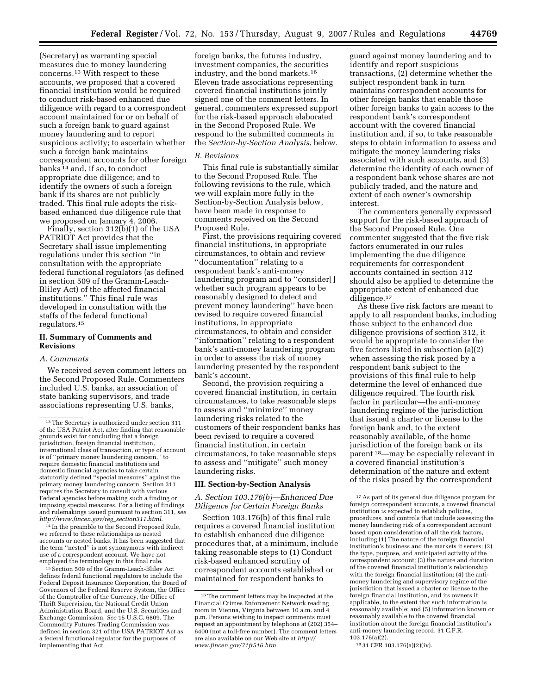(Secretary) as warranting special measures due to money laundering concerns.13 With respect to these accounts, we proposed that a covered financial institution would be required to conduct risk-based enhanced due diligence with regard to a correspondent account maintained for or on behalf of such a foreign bank to guard against money laundering and to report suspicious activity; to ascertain whether such a foreign bank maintains correspondent accounts for other foreign banks 14 and, if so, to conduct appropriate due diligence; and to identify the owners of such a foreign bank if its shares are not publicly traded. This final rule adopts the riskbased enhanced due diligence rule that we proposed on January 4, 2006.

Finally, section 312(b)(1) of the USA PATRIOT Act provides that the Secretary shall issue implementing regulations under this section ''in consultation with the appropriate federal functional regulators (as defined in section 509 of the Gramm-Leach-Bliley Act) of the affected financial institutions.'' This final rule was developed in consultation with the staffs of the federal functional regulators.15

### **II. Summary of Comments and Revisions**

#### *A. Comments*

We received seven comment letters on the Second Proposed Rule. Commenters included U.S. banks, an association of state banking supervisors, and trade associations representing U.S. banks,

14 In the preamble to the Second Proposed Rule, we referred to these relationships as nested accounts or nested banks. It has been suggested that the term ''nested'' is not synonymous with indirect use of a correspondent account. We have not employed the terminology in this final rule.

15Section 509 of the Gramm-Leach-Bliley Act defines federal functional regulators to include the Federal Deposit Insurance Corporation, the Board of Governors of the Federal Reserve System, the Office of the Comptroller of the Currency, the Office of Thrift Supervision, the National Credit Union Administration Board, and the U.S. Securities and Exchange Commission. *See* 15 U.S.C. 6809. The Commodity Futures Trading Commission was defined in section 321 of the USA PATRIOT Act as a federal functional regulator for the purposes of implementing that Act.

foreign banks, the futures industry, investment companies, the securities industry, and the bond markets.16 Eleven trade associations representing covered financial institutions jointly signed one of the comment letters. In general, commenters expressed support for the risk-based approach elaborated in the Second Proposed Rule. We respond to the submitted comments in the *Section-by-Section Analysis*, below.

#### *B. Revisions*

This final rule is substantially similar to the Second Proposed Rule. The following revisions to the rule, which we will explain more fully in the Section-by-Section Analysis below, have been made in response to comments received on the Second Proposed Rule.

First, the provisions requiring covered financial institutions, in appropriate circumstances, to obtain and review ''documentation'' relating to a respondent bank's anti-money laundering program and to ''consider[ ] whether such program appears to be reasonably designed to detect and prevent money laundering'' have been revised to require covered financial institutions, in appropriate circumstances, to obtain and consider ''information'' relating to a respondent bank's anti-money laundering program in order to assess the risk of money laundering presented by the respondent bank's account.

Second, the provision requiring a covered financial institution, in certain circumstances, to take reasonable steps to assess and ''minimize'' money laundering risks related to the customers of their respondent banks has been revised to require a covered financial institution, in certain circumstances, to take reasonable steps to assess and ''mitigate'' such money laundering risks.

#### **III. Section-by-Section Analysis**

*A. Section 103.176(b)—Enhanced Due Diligence for Certain Foreign Banks* 

Section 103.176(b) of this final rule requires a covered financial institution to establish enhanced due diligence procedures that, at a minimum, include taking reasonable steps to (1) Conduct risk-based enhanced scrutiny of correspondent accounts established or maintained for respondent banks to

guard against money laundering and to identify and report suspicious transactions, (2) determine whether the subject respondent bank in turn maintains correspondent accounts for other foreign banks that enable those other foreign banks to gain access to the respondent bank's correspondent account with the covered financial institution and, if so, to take reasonable steps to obtain information to assess and mitigate the money laundering risks associated with such accounts, and (3) determine the identity of each owner of a respondent bank whose shares are not publicly traded, and the nature and extent of each owner's ownership interest.

The commenters generally expressed support for the risk-based approach of the Second Proposed Rule. One commenter suggested that the five risk factors enumerated in our rules implementing the due diligence requirements for correspondent accounts contained in section 312 should also be applied to determine the appropriate extent of enhanced due diligence.<sup>17</sup>

As these five risk factors are meant to apply to all respondent banks, including those subject to the enhanced due diligence provisions of section 312, it would be appropriate to consider the five factors listed in subsection (a)(2) when assessing the risk posed by a respondent bank subject to the provisions of this final rule to help determine the level of enhanced due diligence required. The fourth risk factor in particular—the anti-money laundering regime of the jurisdiction that issued a charter or license to the foreign bank and, to the extent reasonably available, of the home jurisdiction of the foreign bank or its parent 18—may be especially relevant in a covered financial institution's determination of the nature and extent of the risks posed by the correspondent

<sup>13</sup>The Secretary is authorized under section 311 of the USA Patriot Act, after finding that reasonable grounds exist for concluding that a foreign jurisdiction, foreign financial institution, international class of transaction, or type of account is of ''primary money laundering concern,'' to require domestic financial institutions and domestic financial agencies to take certain statutorily defined ''special measures'' against the primary money laundering concern. Section 311 requires the Secretary to consult with various Federal agencies before making such a finding or imposing special measures. For a listing of findings and rulemakings issued pursuant to section 311, *see http://www.fincen.gov/reg*\_*section311.html*.

<sup>16</sup>The comment letters may be inspected at the Financial Crimes Enforcement Network reading room in Vienna, Virginia between 10 a.m. and 4 p.m. Persons wishing to inspect comments must request an appointment by telephone at (202) 354– 6400 (not a toll-free number). The comment letters are also available on our Web site at *http:// www.fincen.gov/71fr516.htm.* 

<sup>17</sup>As part of its general due diligence program for foreign correspondent accounts, a covered financial institution is expected to establish policies, procedures, and controls that include assessing the money laundering risk of a correspondent account based upon consideration of all the risk factors, including (1) The nature of the foreign financial institution's business and the markets it serves; (2) the type, purpose, and anticipated activity of the correspondent account; (3) the nature and duration of the covered financial institution's relationship with the foreign financial institution; (4) the antimoney laundering and supervisory regime of the jurisdiction that issued a charter or license to the foreign financial institution, and its owners if applicable, to the extent that such information is reasonably available; and (5) information known or reasonably available to the covered financial institution about the foreign financial institution's anti-money laundering record. 31 C.F.R. 103.176(a)(2).

<sup>18</sup> 31 CFR 103.176(a)(2)(iv).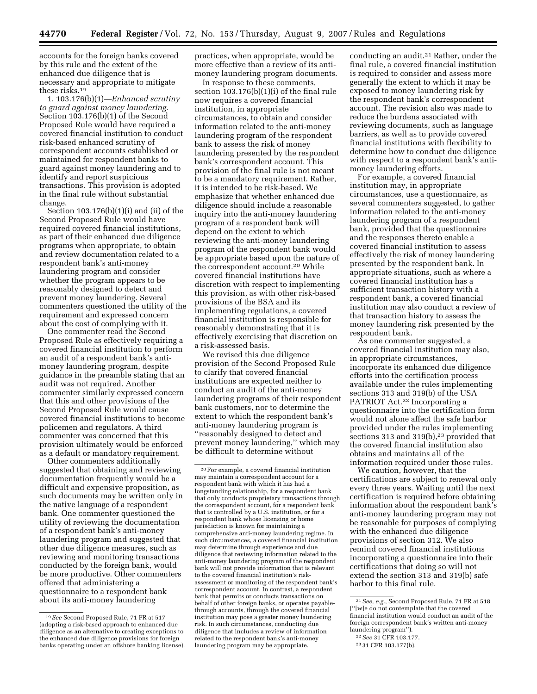accounts for the foreign banks covered by this rule and the extent of the enhanced due diligence that is necessary and appropriate to mitigate these risks.19

1. 103.176(b)(1)—*Enhanced scrutiny to guard against money laundering.*  Section 103.176(b)(1) of the Second Proposed Rule would have required a covered financial institution to conduct risk-based enhanced scrutiny of correspondent accounts established or maintained for respondent banks to guard against money laundering and to identify and report suspicious transactions. This provision is adopted in the final rule without substantial change.

Section 103.176(b)(1)(i) and (ii) of the Second Proposed Rule would have required covered financial institutions, as part of their enhanced due diligence programs when appropriate, to obtain and review documentation related to a respondent bank's anti-money laundering program and consider whether the program appears to be reasonably designed to detect and prevent money laundering. Several commenters questioned the utility of the requirement and expressed concern about the cost of complying with it.

One commenter read the Second Proposed Rule as effectively requiring a covered financial institution to perform an audit of a respondent bank's antimoney laundering program, despite guidance in the preamble stating that an audit was not required. Another commenter similarly expressed concern that this and other provisions of the Second Proposed Rule would cause covered financial institutions to become policemen and regulators. A third commenter was concerned that this provision ultimately would be enforced as a default or mandatory requirement.

Other commenters additionally suggested that obtaining and reviewing documentation frequently would be a difficult and expensive proposition, as such documents may be written only in the native language of a respondent bank. One commenter questioned the utility of reviewing the documentation of a respondent bank's anti-money laundering program and suggested that other due diligence measures, such as reviewing and monitoring transactions conducted by the foreign bank, would be more productive. Other commenters offered that administering a questionnaire to a respondent bank about its anti-money laundering

practices, when appropriate, would be more effective than a review of its antimoney laundering program documents.

In response to these comments, section 103.176(b)(1)(i) of the final rule now requires a covered financial institution, in appropriate circumstances, to obtain and consider information related to the anti-money laundering program of the respondent bank to assess the risk of money laundering presented by the respondent bank's correspondent account. This provision of the final rule is not meant to be a mandatory requirement. Rather, it is intended to be risk-based. We emphasize that whether enhanced due diligence should include a reasonable inquiry into the anti-money laundering program of a respondent bank will depend on the extent to which reviewing the anti-money laundering program of the respondent bank would be appropriate based upon the nature of the correspondent account.20 While covered financial institutions have discretion with respect to implementing this provision, as with other risk-based provisions of the BSA and its implementing regulations, a covered financial institution is responsible for reasonably demonstrating that it is effectively exercising that discretion on a risk-assessed basis.

We revised this due diligence provision of the Second Proposed Rule to clarify that covered financial institutions are expected neither to conduct an audit of the anti-money laundering programs of their respondent bank customers, nor to determine the extent to which the respondent bank's anti-money laundering program is ''reasonably designed to detect and prevent money laundering,'' which may be difficult to determine without

conducting an audit.21 Rather, under the final rule, a covered financial institution is required to consider and assess more generally the extent to which it may be exposed to money laundering risk by the respondent bank's correspondent account. The revision also was made to reduce the burdens associated with reviewing documents, such as language barriers, as well as to provide covered financial institutions with flexibility to determine how to conduct due diligence with respect to a respondent bank's antimoney laundering efforts.

For example, a covered financial institution may, in appropriate circumstances, use a questionnaire, as several commenters suggested, to gather information related to the anti-money laundering program of a respondent bank, provided that the questionnaire and the responses thereto enable a covered financial institution to assess effectively the risk of money laundering presented by the respondent bank. In appropriate situations, such as where a covered financial institution has a sufficient transaction history with a respondent bank, a covered financial institution may also conduct a review of that transaction history to assess the money laundering risk presented by the respondent bank.

As one commenter suggested, a covered financial institution may also, in appropriate circumstances, incorporate its enhanced due diligence efforts into the certification process available under the rules implementing sections 313 and 319(b) of the USA PATRIOT Act.<sup>22</sup> Incorporating a questionnaire into the certification form would not alone affect the safe harbor provided under the rules implementing sections 313 and 319 $(b)$ ,<sup>23</sup> provided that the covered financial institution also obtains and maintains all of the information required under those rules.

We caution, however, that the certifications are subject to renewal only every three years. Waiting until the next certification is required before obtaining information about the respondent bank's anti-money laundering program may not be reasonable for purposes of complying with the enhanced due diligence provisions of section 312. We also remind covered financial institutions incorporating a questionnaire into their certifications that doing so will not extend the section 313 and 319(b) safe harbor to this final rule.

<sup>19</sup>*See* Second Proposed Rule, 71 FR at 517 (adopting a risk-based approach to enhanced due diligence as an alternative to creating exceptions to the enhanced due diligence provisions for foreign banks operating under an offshore banking license).

<sup>20</sup>For example, a covered financial institution may maintain a correspondent account for a respondent bank with which it has had a longstanding relationship, for a respondent bank that only conducts proprietary transactions through the correspondent account, for a respondent bank that is controlled by a U.S. institution, or for a respondent bank whose licensing or home jurisdiction is known for maintaining a comprehensive anti-money laundering regime. In such circumstances, a covered financial institution may determine through experience and due diligence that reviewing information related to the anti-money laundering program of the respondent bank will not provide information that is relevant to the covered financial institution's riskassessment or monitoring of the respondent bank's correspondent account. In contrast, a respondent bank that permits or conducts transactions on behalf of other foreign banks, or operates payablethrough accounts, through the covered financial institution may pose a greater money laundering risk. In such circumstances, conducting due diligence that includes a review of information related to the respondent bank's anti-money laundering program may be appropriate.

<sup>21</sup>*See, e.g.*, Second Proposed Rule, 71 FR at 518 (''[w]e do not contemplate that the covered financial institution would conduct an audit of the foreign correspondent bank's written anti-money laundering program'').

<sup>22</sup>*See* 31 CFR 103.177.

<sup>23</sup> 31 CFR 103.177(b).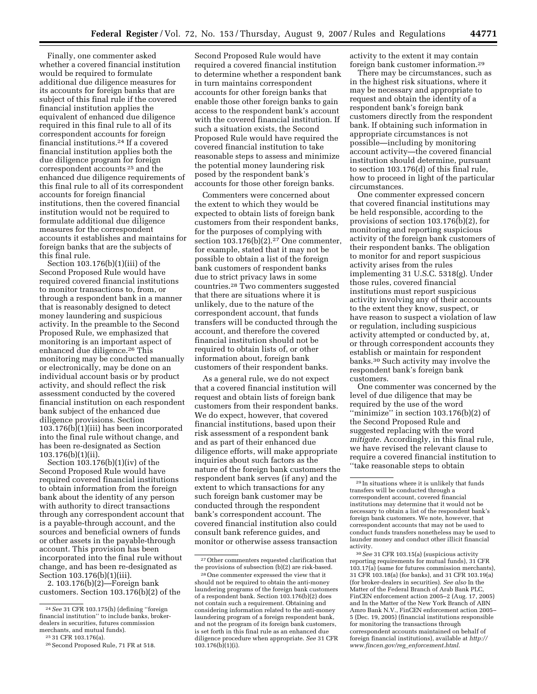Finally, one commenter asked whether a covered financial institution would be required to formulate additional due diligence measures for its accounts for foreign banks that are subject of this final rule if the covered financial institution applies the equivalent of enhanced due diligence required in this final rule to all of its correspondent accounts for foreign financial institutions.24 If a covered financial institution applies both the due diligence program for foreign correspondent accounts 25 and the enhanced due diligence requirements of this final rule to all of its correspondent accounts for foreign financial institutions, then the covered financial institution would not be required to formulate additional due diligence measures for the correspondent accounts it establishes and maintains for foreign banks that are the subjects of this final rule.

Section 103.176(b)(1)(iii) of the Second Proposed Rule would have required covered financial institutions to monitor transactions to, from, or through a respondent bank in a manner that is reasonably designed to detect money laundering and suspicious activity. In the preamble to the Second Proposed Rule, we emphasized that monitoring is an important aspect of enhanced due diligence.26 This monitoring may be conducted manually or electronically, may be done on an individual account basis or by product activity, and should reflect the risk assessment conducted by the covered financial institution on each respondent bank subject of the enhanced due diligence provisions. Section 103.176(b)(1)(iii) has been incorporated into the final rule without change, and has been re-designated as Section 103.176(b)(1)(ii).

Section 103.176(b)(1)(iv) of the Second Proposed Rule would have required covered financial institutions to obtain information from the foreign bank about the identity of any person with authority to direct transactions through any correspondent account that is a payable-through account, and the sources and beneficial owners of funds or other assets in the payable-through account. This provision has been incorporated into the final rule without change, and has been re-designated as Section 103.176(b)(1)(iii).

2. 103.176(b)(2)—Foreign bank customers. Section 103.176(b)(2) of the Second Proposed Rule would have required a covered financial institution to determine whether a respondent bank in turn maintains correspondent accounts for other foreign banks that enable those other foreign banks to gain access to the respondent bank's account with the covered financial institution. If such a situation exists, the Second Proposed Rule would have required the covered financial institution to take reasonable steps to assess and minimize the potential money laundering risk posed by the respondent bank's accounts for those other foreign banks.

Commenters were concerned about the extent to which they would be expected to obtain lists of foreign bank customers from their respondent banks, for the purposes of complying with section 103.176(b)(2).<sup>27</sup> One commenter, for example, stated that it may not be possible to obtain a list of the foreign bank customers of respondent banks due to strict privacy laws in some countries.28 Two commenters suggested that there are situations where it is unlikely, due to the nature of the correspondent account, that funds transfers will be conducted through the account, and therefore the covered financial institution should not be required to obtain lists of, or other information about, foreign bank customers of their respondent banks.

As a general rule, we do not expect that a covered financial institution will request and obtain lists of foreign bank customers from their respondent banks. We do expect, however, that covered financial institutions, based upon their risk assessment of a respondent bank and as part of their enhanced due diligence efforts, will make appropriate inquiries about such factors as the nature of the foreign bank customers the respondent bank serves (if any) and the extent to which transactions for any such foreign bank customer may be conducted through the respondent bank's correspondent account. The covered financial institution also could consult bank reference guides, and monitor or otherwise assess transaction

activity to the extent it may contain foreign bank customer information.29

There may be circumstances, such as in the highest risk situations, where it may be necessary and appropriate to request and obtain the identity of a respondent bank's foreign bank customers directly from the respondent bank. If obtaining such information in appropriate circumstances is not possible—including by monitoring account activity—the covered financial institution should determine, pursuant to section 103.176(d) of this final rule, how to proceed in light of the particular circumstances.

One commenter expressed concern that covered financial institutions may be held responsible, according to the provisions of section 103.176(b)(2), for monitoring and reporting suspicious activity of the foreign bank customers of their respondent banks. The obligation to monitor for and report suspicious activity arises from the rules implementing 31 U.S.C. 5318(g). Under those rules, covered financial institutions must report suspicious activity involving any of their accounts to the extent they know, suspect, or have reason to suspect a violation of law or regulation, including suspicious activity attempted or conducted by, at, or through correspondent accounts they establish or maintain for respondent banks.30 Such activity may involve the respondent bank's foreign bank customers.

One commenter was concerned by the level of due diligence that may be required by the use of the word ''minimize'' in section 103.176(b)(2) of the Second Proposed Rule and suggested replacing with the word *mitigate.* Accordingly, in this final rule, we have revised the relevant clause to require a covered financial institution to ''take reasonable steps to obtain

<sup>24</sup>*See* 31 CFR 103.175(h) (defining ''foreign financial institution'' to include banks, brokerdealers in securities, futures commission<br>merchants, and mutual funds).

 $m^{25}$  31 CFR 103.176(a).<br><sup>26</sup> Second Proposed Rule, 71 FR at 518.

<sup>27</sup>Other commenters requested clarification that the provisions of subsection (b)(2) are risk-based.

<sup>28</sup>One commenter expressed the view that it should not be required to obtain the anti-money laundering programs of the foreign bank customers of a respondent bank. Section 103.176(b)(2) does not contain such a requirement. Obtaining and considering information related to the anti-money laundering program of a foreign respondent bank, and not the program of its foreign bank customers, is set forth in this final rule as an enhanced due diligence procedure when appropriate. *See* 31 CFR  $103.176(b)(1)(i)$ .

<sup>29</sup> In situations where it is unlikely that funds transfers will be conducted through a correspondent account, covered financial institutions may determine that it would not be necessary to obtain a list of the respondent bank's foreign bank customers. We note, however, that correspondent accounts that may not be used to conduct funds transfers nonetheless may be used to launder money and conduct other illicit financial activity.

<sup>30</sup>*See* 31 CFR 103.15(a) (suspicious activity reporting requirements for mutual funds), 31 CFR 103.17(a) (same for futures commission merchants), 31 CFR 103.18(a) (for banks), and 31 CFR 103.19(a) (for broker-dealers in securities). *See also* In the Matter of the Federal Branch of Arab Bank PLC, FinCEN enforcement action 2005–2 (Aug. 17, 2005) and In the Matter of the New York Branch of ABN Amro Bank N.V., FinCEN enforcement action 2005– 5 (Dec. 19, 2005) (financial institutions responsible for monitoring the transactions through correspondent accounts maintained on behalf of foreign financial institutions), available at *http:// www.fincen.gov/reg*\_*enforcement.html*.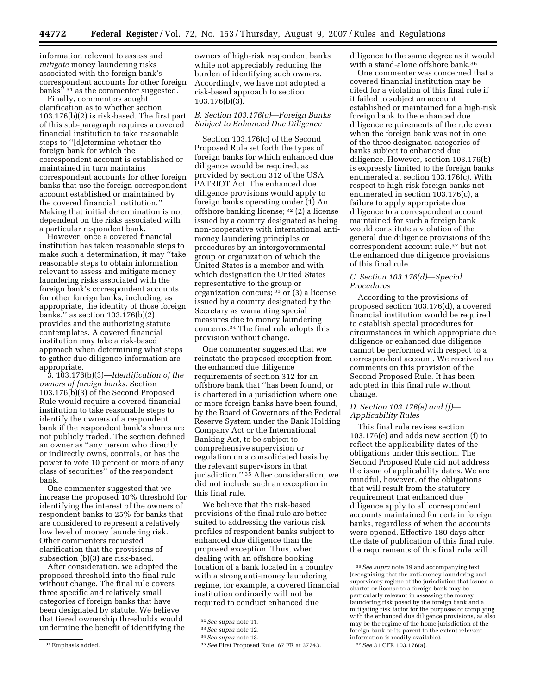information relevant to assess and *mitigate* money laundering risks associated with the foreign bank's correspondent accounts for other foreign banks<sup> $531$ </sup> as the commenter suggested.

Finally, commenters sought clarification as to whether section 103.176(b)(2) is risk-based. The first part of this sub-paragraph requires a covered financial institution to take reasonable steps to ''[d]etermine whether the foreign bank for which the correspondent account is established or maintained in turn maintains correspondent accounts for other foreign banks that use the foreign correspondent account established or maintained by the covered financial institution.'' Making that initial determination is not dependent on the risks associated with a particular respondent bank.

However, once a covered financial institution has taken reasonable steps to make such a determination, it may ''take reasonable steps to obtain information relevant to assess and mitigate money laundering risks associated with the foreign bank's correspondent accounts for other foreign banks, including, as appropriate, the identity of those foreign banks,'' as section 103.176(b)(2) provides and the authorizing statute contemplates. A covered financial institution may take a risk-based approach when determining what steps to gather due diligence information are appropriate.

3. 103.176(b)(3)—*Identification of the owners of foreign banks.* Section 103.176(b)(3) of the Second Proposed Rule would require a covered financial institution to take reasonable steps to identify the owners of a respondent bank if the respondent bank's shares are not publicly traded. The section defined an owner as ''any person who directly or indirectly owns, controls, or has the power to vote 10 percent or more of any class of securities'' of the respondent bank.

One commenter suggested that we increase the proposed 10% threshold for identifying the interest of the owners of respondent banks to 25% for banks that are considered to represent a relatively low level of money laundering risk. Other commenters requested clarification that the provisions of subsection (b)(3) are risk-based.

After consideration, we adopted the proposed threshold into the final rule without change. The final rule covers three specific and relatively small categories of foreign banks that have been designated by statute. We believe that tiered ownership thresholds would undermine the benefit of identifying the

owners of high-risk respondent banks while not appreciably reducing the burden of identifying such owners. Accordingly, we have not adopted a risk-based approach to section 103.176(b)(3).

# *B. Section 103.176(c)—Foreign Banks Subject to Enhanced Due Diligence*

Section 103.176(c) of the Second Proposed Rule set forth the types of foreign banks for which enhanced due diligence would be required, as provided by section 312 of the USA PATRIOT Act. The enhanced due diligence provisions would apply to foreign banks operating under (1) An offshore banking license; 32 (2) a license issued by a country designated as being non-cooperative with international antimoney laundering principles or procedures by an intergovernmental group or organization of which the United States is a member and with which designation the United States representative to the group or organization concurs; 33 or (3) a license issued by a country designated by the Secretary as warranting special measures due to money laundering concerns.34 The final rule adopts this provision without change.

One commenter suggested that we reinstate the proposed exception from the enhanced due diligence requirements of section 312 for an offshore bank that ''has been found, or is chartered in a jurisdiction where one or more foreign banks have been found, by the Board of Governors of the Federal Reserve System under the Bank Holding Company Act or the International Banking Act, to be subject to comprehensive supervision or regulation on a consolidated basis by the relevant supervisors in that jurisdiction." <sup>35</sup> After consideration, we did not include such an exception in this final rule.

We believe that the risk-based provisions of the final rule are better suited to addressing the various risk profiles of respondent banks subject to enhanced due diligence than the proposed exception. Thus, when dealing with an offshore booking location of a bank located in a country with a strong anti-money laundering regime, for example, a covered financial institution ordinarily will not be required to conduct enhanced due

diligence to the same degree as it would with a stand-alone offshore bank.36

One commenter was concerned that a covered financial institution may be cited for a violation of this final rule if it failed to subject an account established or maintained for a high-risk foreign bank to the enhanced due diligence requirements of the rule even when the foreign bank was not in one of the three designated categories of banks subject to enhanced due diligence. However, section 103.176(b) is expressly limited to the foreign banks enumerated at section 103.176(c). With respect to high-risk foreign banks not enumerated in section 103.176(c), a failure to apply appropriate due diligence to a correspondent account maintained for such a foreign bank would constitute a violation of the general due diligence provisions of the correspondent account rule,37 but not the enhanced due diligence provisions of this final rule.

#### *C. Section 103.176(d)—Special Procedures*

According to the provisions of proposed section 103.176(d), a covered financial institution would be required to establish special procedures for circumstances in which appropriate due diligence or enhanced due diligence cannot be performed with respect to a correspondent account. We received no comments on this provision of the Second Proposed Rule. It has been adopted in this final rule without change.

## *D. Section 103.176(e) and (f)— Applicability Rules*

This final rule revises section 103.176(e) and adds new section (f) to reflect the applicability dates of the obligations under this section. The Second Proposed Rule did not address the issue of applicability dates. We are mindful, however, of the obligations that will result from the statutory requirement that enhanced due diligence apply to all correspondent accounts maintained for certain foreign banks, regardless of when the accounts were opened. Effective 180 days after the date of publication of this final rule, the requirements of this final rule will

<sup>31</sup>Emphasis added.

<sup>32</sup>*See supra* note 11.

<sup>33</sup>*See supra* note 12.

<sup>34</sup>*See supra* note 13.

<sup>35</sup>*See* First Proposed Rule, 67 FR at 37743.

<sup>36</sup>*See supra* note 19 and accompanying text (recognizing that the anti-money laundering and supervisory regime of the jurisdiction that issued a charter or license to a foreign bank may be particularly relevant in assessing the money laundering risk posed by the foreign bank and a mitigating risk factor for the purposes of complying with the enhanced due diligence provisions, as also may be the regime of the home jurisdiction of the foreign bank or its parent to the extent relevant information is readily available).

<sup>37</sup>*See* 31 CFR 103.176(a).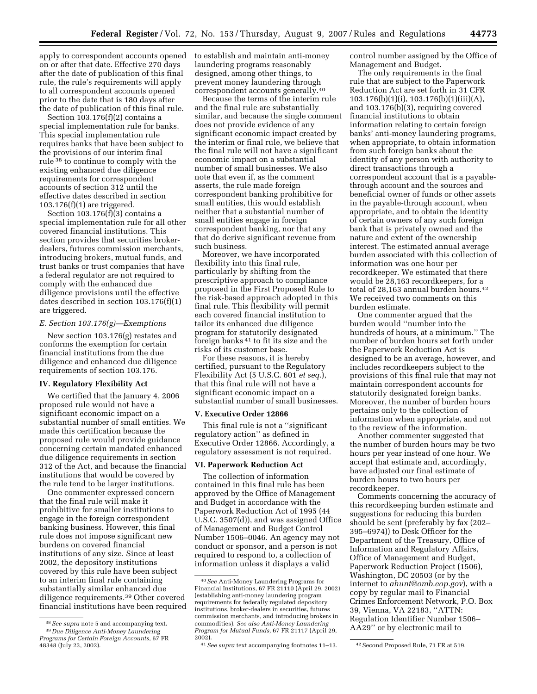apply to correspondent accounts opened on or after that date. Effective 270 days after the date of publication of this final rule, the rule's requirements will apply to all correspondent accounts opened prior to the date that is 180 days after the date of publication of this final rule.

Section  $103.176(f)(2)$  contains a special implementation rule for banks. This special implementation rule requires banks that have been subject to the provisions of our interim final rule 38 to continue to comply with the existing enhanced due diligence requirements for correspondent accounts of section 312 until the effective dates described in section 103.176(f)(1) are triggered.

Section 103.176(f)(3) contains a special implementation rule for all other covered financial institutions. This section provides that securities brokerdealers, futures commission merchants, introducing brokers, mutual funds, and trust banks or trust companies that have a federal regulator are not required to comply with the enhanced due diligence provisions until the effective dates described in section 103.176(f)(1) are triggered.

#### *E. Section 103.176(g)—Exemptions*

New section 103.176(g) restates and conforms the exemption for certain financial institutions from the due diligence and enhanced due diligence requirements of section 103.176.

### **IV. Regulatory Flexibility Act**

We certified that the January 4, 2006 proposed rule would not have a significant economic impact on a substantial number of small entities. We made this certification because the proposed rule would provide guidance concerning certain mandated enhanced due diligence requirements in section 312 of the Act, and because the financial institutions that would be covered by the rule tend to be larger institutions.

One commenter expressed concern that the final rule will make it prohibitive for smaller institutions to engage in the foreign correspondent banking business. However, this final rule does not impose significant new burdens on covered financial institutions of any size. Since at least 2002, the depository institutions covered by this rule have been subject to an interim final rule containing substantially similar enhanced due diligence requirements.39 Other covered financial institutions have been required to establish and maintain anti-money laundering programs reasonably designed, among other things, to prevent money laundering through correspondent accounts generally.40

Because the terms of the interim rule and the final rule are substantially similar, and because the single comment does not provide evidence of any significant economic impact created by the interim or final rule, we believe that the final rule will not have a significant economic impact on a substantial number of small businesses. We also note that even if, as the comment asserts, the rule made foreign correspondent banking prohibitive for small entities, this would establish neither that a substantial number of small entities engage in foreign correspondent banking, nor that any that do derive significant revenue from such business.

Moreover, we have incorporated flexibility into this final rule, particularly by shifting from the prescriptive approach to compliance proposed in the First Proposed Rule to the risk-based approach adopted in this final rule. This flexibility will permit each covered financial institution to tailor its enhanced due diligence program for statutorily designated foreign banks 41 to fit its size and the risks of its customer base.

For these reasons, it is hereby certified, pursuant to the Regulatory Flexibility Act (5 U.S.C. 601 *et seq.*), that this final rule will not have a significant economic impact on a substantial number of small businesses.

#### **V. Executive Order 12866**

This final rule is not a ''significant regulatory action'' as defined in Executive Order 12866. Accordingly, a regulatory assessment is not required.

### **VI. Paperwork Reduction Act**

The collection of information contained in this final rule has been approved by the Office of Management and Budget in accordance with the Paperwork Reduction Act of 1995 (44 U.S.C. 3507(d)), and was assigned Office of Management and Budget Control Number 1506–0046. An agency may not conduct or sponsor, and a person is not required to respond to, a collection of information unless it displays a valid

control number assigned by the Office of Management and Budget.

The only requirements in the final rule that are subject to the Paperwork Reduction Act are set forth in 31 CFR 103.176(b)(1)(i), 103.176(b)(1)(iii)(A), and 103.176(b)(3), requiring covered financial institutions to obtain information relating to certain foreign banks' anti-money laundering programs, when appropriate, to obtain information from such foreign banks about the identity of any person with authority to direct transactions through a correspondent account that is a payablethrough account and the sources and beneficial owner of funds or other assets in the payable-through account, when appropriate, and to obtain the identity of certain owners of any such foreign bank that is privately owned and the nature and extent of the ownership interest. The estimated annual average burden associated with this collection of information was one hour per recordkeeper. We estimated that there would be 28,163 recordkeepers, for a total of 28,163 annual burden hours.<sup>42</sup> We received two comments on this burden estimate.

One commenter argued that the burden would ''number into the hundreds of hours, at a minimum.'' The number of burden hours set forth under the Paperwork Reduction Act is designed to be an average, however, and includes recordkeepers subject to the provisions of this final rule that may not maintain correspondent accounts for statutorily designated foreign banks. Moreover, the number of burden hours pertains only to the collection of information when appropriate, and not to the review of the information.

Another commenter suggested that the number of burden hours may be two hours per year instead of one hour. We accept that estimate and, accordingly, have adjusted our final estimate of burden hours to two hours per recordkeeper.

Comments concerning the accuracy of this recordkeeping burden estimate and suggestions for reducing this burden should be sent (preferably by fax (202– 395–6974)) to Desk Officer for the Department of the Treasury, Office of Information and Regulatory Affairs, Office of Management and Budget, Paperwork Reduction Project (1506), Washington, DC 20503 (or by the internet to *ahunt@omb.eop.gov*), with a copy by regular mail to Financial Crimes Enforcement Network, P.O. Box 39, Vienna, VA 22183, ''ATTN: Regulation Identifier Number 1506– AA29'' or by electronic mail to

<sup>38</sup>*See supra* note 5 and accompanying text. 39 *Due Diligence Anti-Money Laundering Programs for Certain Foreign Accounts,* 67 FR

<sup>48348 (</sup>July 23, 2002).

<sup>40</sup>*See* Anti-Money Laundering Programs for Financial Institutions, 67 FR 21110 (April 29, 2002) (establishing anti-money laundering program requirements for federally regulated depository institutions, broker-dealers in securities, futures commission merchants, and introducing brokers in commodities). *See also Anti-Money Laundering Program for Mutual Funds,* 67 FR 21117 (April 29, 2002).

<sup>41</sup>*See supra* text accompanying footnotes 11–13. 42Second Proposed Rule, 71 FR at 519.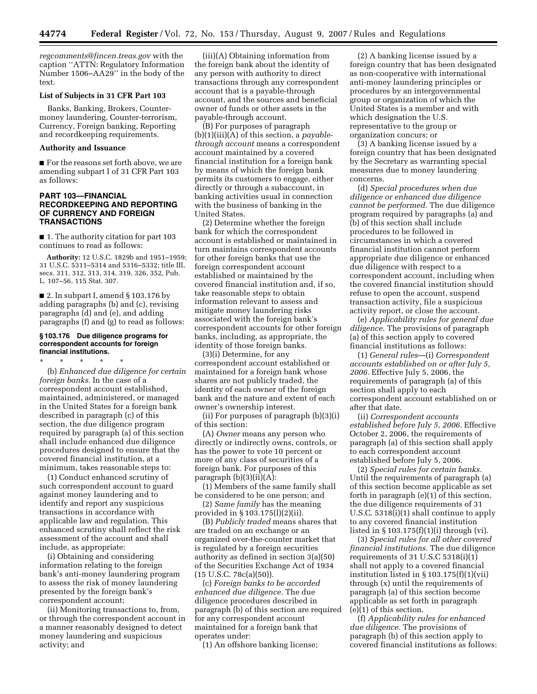*regcomments@fincen.treas.gov* with the caption ''ATTN: Regulatory Information Number 1506–AA29'' in the body of the text.

## **List of Subjects in 31 CFR Part 103**

Banks, Banking, Brokers, Countermoney laundering, Counter-terrorism, Currency, Foreign banking, Reporting and recordkeeping requirements.

## **Authority and Issuance**

■ For the reasons set forth above, we are amending subpart I of 31 CFR Part 103 as follows:

# **PART 103—FINANCIAL RECORDKEEPING AND REPORTING OF CURRENCY AND FOREIGN TRANSACTIONS**

■ 1. The authority citation for part 103 continues to read as follows:

**Authority:** 12 U.S.C. 1829b and 1951–1959; 31 U.S.C. 5311–5314 and 5316–5332; title III, secs. 311, 312, 313, 314, 319, 326, 352, Pub. L. 107–56, 115 Stat. 307.

■ 2. In subpart I, amend § 103.176 by adding paragraphs (b) and (c), revising paragraphs (d) and (e), and adding paragraphs (f) and (g) to read as follows:

#### **§ 103.176 Due diligence programs for correspondent accounts for foreign financial institutions.**

\* \* \* \* \*

(b) *Enhanced due diligence for certain foreign banks.* In the case of a correspondent account established, maintained, administered, or managed in the United States for a foreign bank described in paragraph (c) of this section, the due diligence program required by paragraph (a) of this section shall include enhanced due diligence procedures designed to ensure that the covered financial institution, at a minimum, takes reasonable steps to:

(1) Conduct enhanced scrutiny of such correspondent account to guard against money laundering and to identify and report any suspicious transactions in accordance with applicable law and regulation. This enhanced scrutiny shall reflect the risk assessment of the account and shall include, as appropriate:

(i) Obtaining and considering information relating to the foreign bank's anti-money laundering program to assess the risk of money laundering presented by the foreign bank's correspondent account;

(ii) Monitoring transactions to, from, or through the correspondent account in a manner reasonably designed to detect money laundering and suspicious activity; and

(iii)(A) Obtaining information from the foreign bank about the identity of any person with authority to direct transactions through any correspondent account that is a payable-through account, and the sources and beneficial owner of funds or other assets in the payable-through account.

(B) For purposes of paragraph (b)(1)(iii)(A) of this section, a *payablethrough account* means a correspondent account maintained by a covered financial institution for a foreign bank by means of which the foreign bank permits its customers to engage, either directly or through a subaccount, in banking activities usual in connection with the business of banking in the United States.

(2) Determine whether the foreign bank for which the correspondent account is established or maintained in turn maintains correspondent accounts for other foreign banks that use the foreign correspondent account established or maintained by the covered financial institution and, if so, take reasonable steps to obtain information relevant to assess and mitigate money laundering risks associated with the foreign bank's correspondent accounts for other foreign banks, including, as appropriate, the identity of those foreign banks.

(3)(i) Determine, for any correspondent account established or maintained for a foreign bank whose shares are not publicly traded, the identity of each owner of the foreign bank and the nature and extent of each owner's ownership interest.

(ii) For purposes of paragraph (b)(3)(i) of this section:

(A) *Owner* means any person who directly or indirectly owns, controls, or has the power to vote 10 percent or more of any class of securities of a foreign bank. For purposes of this paragraph (b)(3)(ii)(A):

(1) Members of the same family shall be considered to be one person; and

(2) *Same family* has the meaning provided in § 103.175(l)(2)(ii).

(B) *Publicly traded* means shares that are traded on an exchange or an organized over-the-counter market that is regulated by a foreign securities authority as defined in section 3(a)(50) of the Securities Exchange Act of 1934  $(15 \text{ U.S.C. } 78c(a)(50)).$ 

(c) *Foreign banks to be accorded enhanced due diligence.* The due diligence procedures described in paragraph (b) of this section are required for any correspondent account maintained for a foreign bank that operates under:

(1) An offshore banking license;

(2) A banking license issued by a foreign country that has been designated as non-cooperative with international anti-money laundering principles or procedures by an intergovernmental group or organization of which the United States is a member and with which designation the U.S. representative to the group or organization concurs; or

(3) A banking license issued by a foreign country that has been designated by the Secretary as warranting special measures due to money laundering concerns.

(d) *Special procedures when due diligence or enhanced due diligence cannot be performed.* The due diligence program required by paragraphs (a) and (b) of this section shall include procedures to be followed in circumstances in which a covered financial institution cannot perform appropriate due diligence or enhanced due diligence with respect to a correspondent account, including when the covered financial institution should refuse to open the account, suspend transaction activity, file a suspicious activity report, or close the account.

(e) *Applicability rules for general due diligence.* The provisions of paragraph (a) of this section apply to covered financial institutions as follows:

(1) *General rules*—(i) *Correspondent accounts established on or after July 5, 2006.* Effective July 5, 2006, the requirements of paragraph (a) of this section shall apply to each correspondent account established on or after that date.

(ii) *Correspondent accounts established before July 5, 2006.* Effective October 2, 2006, the requirements of paragraph (a) of this section shall apply to each correspondent account established before July 5, 2006.

(2) *Special rules for certain banks.*  Until the requirements of paragraph (a) of this section become applicable as set forth in paragraph (e)(1) of this section, the due diligence requirements of 31 U.S.C. 5318(i)(1) shall continue to apply to any covered financial institution listed in § 103.175(f)(1)(i) through (vi).

(3) *Special rules for all other covered financial institutions.* The due diligence requirements of 31 U.S.C 5318(i)(1) shall not apply to a covered financial institution listed in § 103.175(f)(1)(vii) through (x) until the requirements of paragraph (a) of this section become applicable as set forth in paragraph (e)(1) of this section.

(f) *Applicability rules for enhanced due diligence.* The provisions of paragraph (b) of this section apply to covered financial institutions as follows: